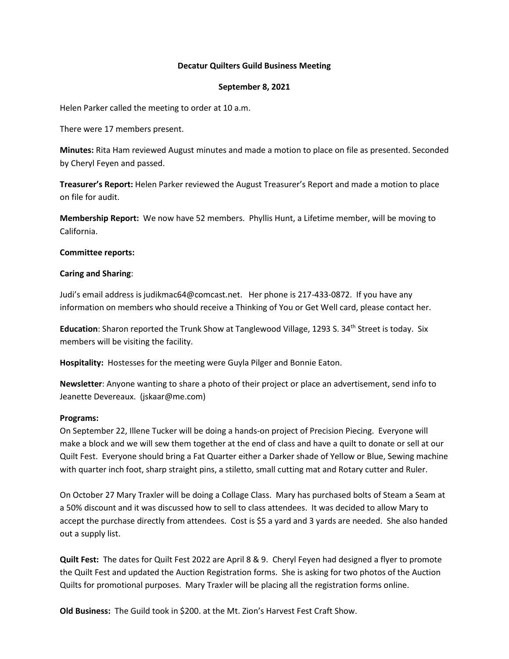## **Decatur Quilters Guild Business Meeting**

## **September 8, 2021**

Helen Parker called the meeting to order at 10 a.m.

There were 17 members present.

**Minutes:** Rita Ham reviewed August minutes and made a motion to place on file as presented. Seconded by Cheryl Feyen and passed.

**Treasurer's Report:** Helen Parker reviewed the August Treasurer's Report and made a motion to place on file for audit.

**Membership Report:** We now have 52 members. Phyllis Hunt, a Lifetime member, will be moving to California.

## **Committee reports:**

## **Caring and Sharing**:

Judi's email address is judikmac64@comcast.net. Her phone is 217-433-0872. If you have any information on members who should receive a Thinking of You or Get Well card, please contact her.

**Education**: Sharon reported the Trunk Show at Tanglewood Village, 1293 S. 34<sup>th</sup> Street is today. Six members will be visiting the facility.

**Hospitality:** Hostesses for the meeting were Guyla Pilger and Bonnie Eaton.

**Newsletter**: Anyone wanting to share a photo of their project or place an advertisement, send info to Jeanette Devereaux. (jskaar@me.com)

## **Programs:**

On September 22, Illene Tucker will be doing a hands-on project of Precision Piecing. Everyone will make a block and we will sew them together at the end of class and have a quilt to donate or sell at our Quilt Fest. Everyone should bring a Fat Quarter either a Darker shade of Yellow or Blue, Sewing machine with quarter inch foot, sharp straight pins, a stiletto, small cutting mat and Rotary cutter and Ruler.

On October 27 Mary Traxler will be doing a Collage Class. Mary has purchased bolts of Steam a Seam at a 50% discount and it was discussed how to sell to class attendees. It was decided to allow Mary to accept the purchase directly from attendees. Cost is \$5 a yard and 3 yards are needed. She also handed out a supply list.

**Quilt Fest:** The dates for Quilt Fest 2022 are April 8 & 9. Cheryl Feyen had designed a flyer to promote the Quilt Fest and updated the Auction Registration forms. She is asking for two photos of the Auction Quilts for promotional purposes. Mary Traxler will be placing all the registration forms online.

**Old Business:** The Guild took in \$200. at the Mt. Zion's Harvest Fest Craft Show.